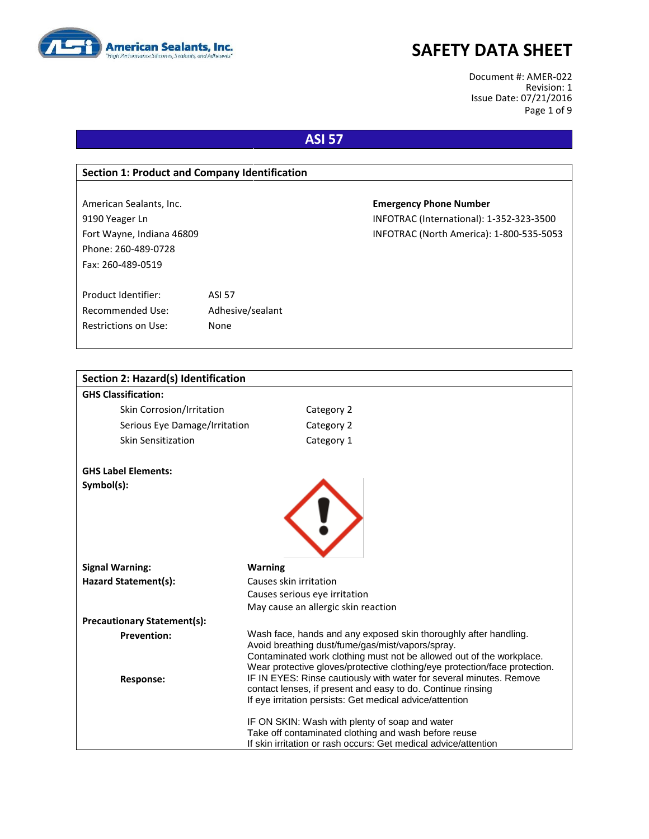

Document #: AMER-022 Revision: 1 Issue Date: 07/21/2016 Page 1 of 9

# **ASI 57**

| <b>Section 1: Product and Company Identification</b> |                  |                                          |  |
|------------------------------------------------------|------------------|------------------------------------------|--|
|                                                      |                  |                                          |  |
| American Sealants, Inc.                              |                  | <b>Emergency Phone Number</b>            |  |
| 9190 Yeager Ln                                       |                  | INFOTRAC (International): 1-352-323-3500 |  |
| Fort Wayne, Indiana 46809                            |                  | INFOTRAC (North America): 1-800-535-5053 |  |
| Phone: 260-489-0728                                  |                  |                                          |  |
| Fax: 260-489-0519                                    |                  |                                          |  |
|                                                      |                  |                                          |  |
| Product Identifier:                                  | <b>ASI 57</b>    |                                          |  |
| Recommended Use:                                     | Adhesive/sealant |                                          |  |
| Restrictions on Use:                                 | None             |                                          |  |
|                                                      |                  |                                          |  |

| <b>Section 2: Hazard(s) Identification</b> |                                                                                                                                                   |
|--------------------------------------------|---------------------------------------------------------------------------------------------------------------------------------------------------|
| <b>GHS Classification:</b>                 |                                                                                                                                                   |
| Skin Corrosion/Irritation                  | Category 2                                                                                                                                        |
| Serious Eye Damage/Irritation              | Category 2                                                                                                                                        |
| Skin Sensitization                         | Category 1                                                                                                                                        |
| <b>GHS Label Elements:</b>                 |                                                                                                                                                   |
| Symbol(s):                                 |                                                                                                                                                   |
|                                            |                                                                                                                                                   |
|                                            |                                                                                                                                                   |
|                                            |                                                                                                                                                   |
|                                            |                                                                                                                                                   |
|                                            |                                                                                                                                                   |
| <b>Signal Warning:</b>                     | <b>Warning</b>                                                                                                                                    |
| Hazard Statement(s):                       | Causes skin irritation                                                                                                                            |
|                                            | Causes serious eye irritation                                                                                                                     |
|                                            | May cause an allergic skin reaction                                                                                                               |
| <b>Precautionary Statement(s):</b>         |                                                                                                                                                   |
| <b>Prevention:</b>                         | Wash face, hands and any exposed skin thoroughly after handling.                                                                                  |
|                                            | Avoid breathing dust/fume/gas/mist/vapors/spray.                                                                                                  |
|                                            | Contaminated work clothing must not be allowed out of the workplace.                                                                              |
|                                            | Wear protective gloves/protective clothing/eye protection/face protection.<br>IF IN EYES: Rinse cautiously with water for several minutes. Remove |
| <b>Response:</b>                           | contact lenses, if present and easy to do. Continue rinsing                                                                                       |
|                                            | If eye irritation persists: Get medical advice/attention                                                                                          |
|                                            | IF ON SKIN: Wash with plenty of soap and water                                                                                                    |
|                                            | Take off contaminated clothing and wash before reuse                                                                                              |
|                                            | If skin irritation or rash occurs: Get medical advice/attention                                                                                   |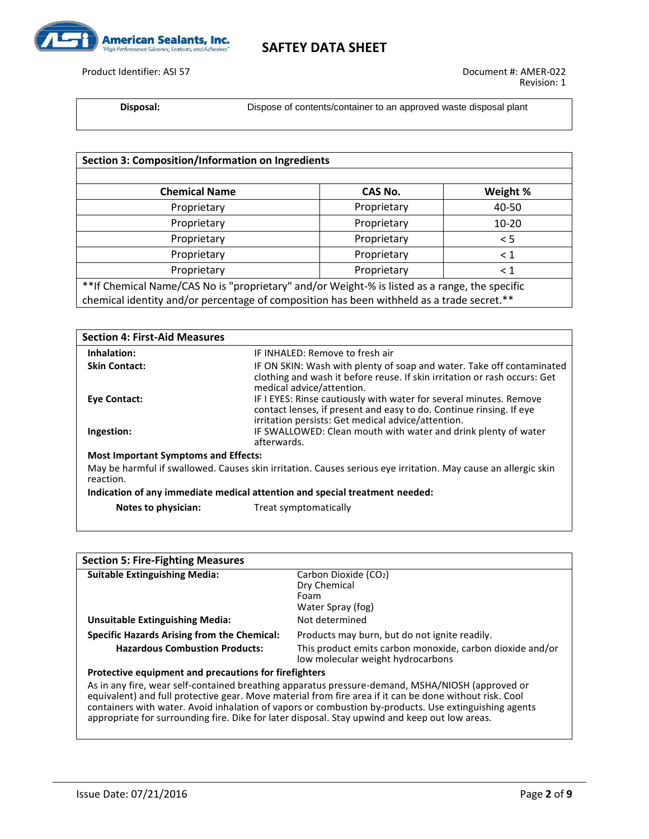

Product Identifier: ASI 57 Document #: AMER-022

**Disposal:** Dispose of contents/container to an approved waste disposal plant

| <b>Section 3: Composition/Information on Ingredients</b>                                      |             |           |  |
|-----------------------------------------------------------------------------------------------|-------------|-----------|--|
|                                                                                               |             |           |  |
| <b>Chemical Name</b>                                                                          | CAS No.     | Weight %  |  |
| Proprietary                                                                                   | Proprietary | 40-50     |  |
| Proprietary                                                                                   | Proprietary | $10 - 20$ |  |
| Proprietary                                                                                   | Proprietary | < 5       |  |
| Proprietary                                                                                   | Proprietary | $\leq 1$  |  |
| Proprietary                                                                                   | Proprietary | $\leq 1$  |  |
| **If Chemical Name/CAS No is "proprietary" and/or Weight-% is listed as a range, the specific |             |           |  |
| chemical identity and/or percentage of composition has been withheld as a trade secret.**     |             |           |  |

| <b>Section 4: First-Aid Measures</b>        |                                                                                                                                                                                                 |  |  |
|---------------------------------------------|-------------------------------------------------------------------------------------------------------------------------------------------------------------------------------------------------|--|--|
| Inhalation:                                 | IF INHALED: Remove to fresh air                                                                                                                                                                 |  |  |
| <b>Skin Contact:</b>                        | IF ON SKIN: Wash with plenty of soap and water. Take off contaminated<br>clothing and wash it before reuse. If skin irritation or rash occurs: Get<br>medical advice/attention.                 |  |  |
| Eye Contact:                                | IF I EYES: Rinse cautiously with water for several minutes. Remove<br>contact lenses, if present and easy to do. Continue rinsing. If eye<br>irritation persists: Get medical advice/attention. |  |  |
| Ingestion:                                  | IF SWALLOWED: Clean mouth with water and drink plenty of water<br>afterwards.                                                                                                                   |  |  |
| <b>Most Important Symptoms and Effects:</b> |                                                                                                                                                                                                 |  |  |
| reaction.                                   | May be harmful if swallowed. Causes skin irritation. Causes serious eye irritation. May cause an allergic skin                                                                                  |  |  |
|                                             | Indication of any immediate medical attention and special treatment needed:                                                                                                                     |  |  |
| Notes to physician:                         | Treat symptomatically                                                                                                                                                                           |  |  |

| <b>Section 5: Fire-Fighting Measures</b>              |                                                                                                   |
|-------------------------------------------------------|---------------------------------------------------------------------------------------------------|
| <b>Suitable Extinguishing Media:</b>                  | Carbon Dioxide (CO2)                                                                              |
|                                                       | Dry Chemical                                                                                      |
|                                                       | Foam                                                                                              |
|                                                       | Water Spray (fog)                                                                                 |
| <b>Unsuitable Extinguishing Media:</b>                | Not determined                                                                                    |
| <b>Specific Hazards Arising from the Chemical:</b>    | Products may burn, but do not ignite readily.                                                     |
| <b>Hazardous Combustion Products:</b>                 | This product emits carbon monoxide, carbon dioxide and/or<br>low molecular weight hydrocarbons    |
| Protective equipment and precautions for firefighters |                                                                                                   |
|                                                       | As in any fire, wear solf contained broatbing apparatus processes domand MCUA (NUOCU (approved ar |

As in any fire, wear self-contained breathing apparatus pressure-demand, MSHA/NIOSH (approved or equivalent) and full protective gear. Move material from fire area if it can be done without risk. Cool containers with water. Avoid inhalation of vapors or combustion by-products. Use extinguishing agents appropriate for surrounding fire. Dike for later disposal. Stay upwind and keep out low areas.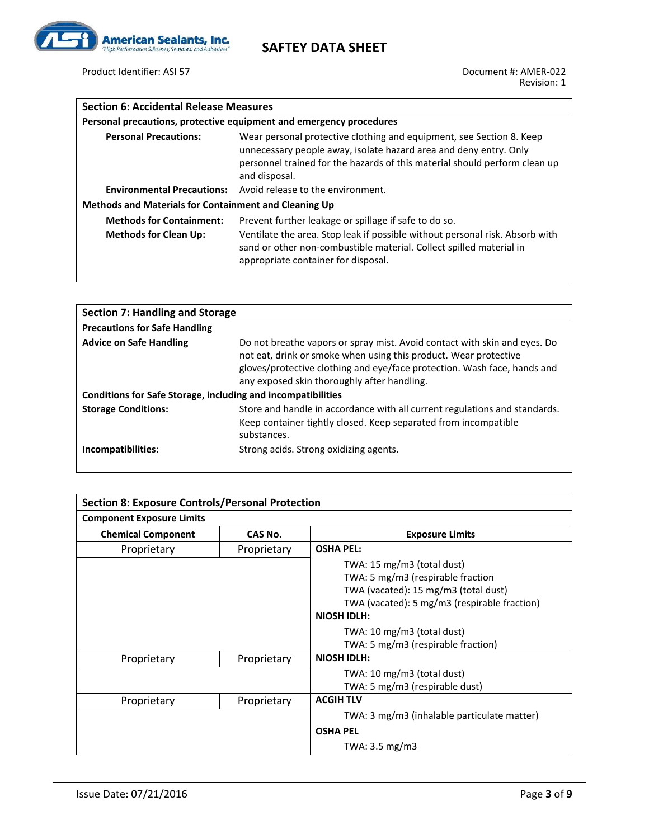

Product Identifier: ASI 57 Document #: AMER-022

| <b>Section 6: Accidental Release Measures</b>                |                                                                                                                                                                                                                                          |  |  |  |
|--------------------------------------------------------------|------------------------------------------------------------------------------------------------------------------------------------------------------------------------------------------------------------------------------------------|--|--|--|
|                                                              | Personal precautions, protective equipment and emergency procedures                                                                                                                                                                      |  |  |  |
| <b>Personal Precautions:</b>                                 | Wear personal protective clothing and equipment, see Section 8. Keep<br>unnecessary people away, isolate hazard area and deny entry. Only<br>personnel trained for the hazards of this material should perform clean up<br>and disposal. |  |  |  |
| <b>Environmental Precautions:</b>                            | Avoid release to the environment.                                                                                                                                                                                                        |  |  |  |
| <b>Methods and Materials for Containment and Cleaning Up</b> |                                                                                                                                                                                                                                          |  |  |  |
| <b>Methods for Containment:</b>                              | Prevent further leakage or spillage if safe to do so.                                                                                                                                                                                    |  |  |  |
| <b>Methods for Clean Up:</b>                                 | Ventilate the area. Stop leak if possible without personal risk. Absorb with<br>sand or other non-combustible material. Collect spilled material in<br>appropriate container for disposal.                                               |  |  |  |
|                                                              |                                                                                                                                                                                                                                          |  |  |  |

| <b>Section 7: Handling and Storage</b>                              |                                                                                                                                                                                                                                                                          |  |  |  |
|---------------------------------------------------------------------|--------------------------------------------------------------------------------------------------------------------------------------------------------------------------------------------------------------------------------------------------------------------------|--|--|--|
| <b>Precautions for Safe Handling</b>                                |                                                                                                                                                                                                                                                                          |  |  |  |
| <b>Advice on Safe Handling</b>                                      | Do not breathe vapors or spray mist. Avoid contact with skin and eyes. Do<br>not eat, drink or smoke when using this product. Wear protective<br>gloves/protective clothing and eye/face protection. Wash face, hands and<br>any exposed skin thoroughly after handling. |  |  |  |
| <b>Conditions for Safe Storage, including and incompatibilities</b> |                                                                                                                                                                                                                                                                          |  |  |  |
| <b>Storage Conditions:</b>                                          | Store and handle in accordance with all current regulations and standards.<br>Keep container tightly closed. Keep separated from incompatible<br>substances.                                                                                                             |  |  |  |
| Incompatibilities:                                                  | Strong acids. Strong oxidizing agents.                                                                                                                                                                                                                                   |  |  |  |

| <b>Section 8: Exposure Controls/Personal Protection</b> |             |                                                                                                                                                                               |
|---------------------------------------------------------|-------------|-------------------------------------------------------------------------------------------------------------------------------------------------------------------------------|
| <b>Component Exposure Limits</b>                        |             |                                                                                                                                                                               |
| <b>Chemical Component</b>                               | CAS No.     | <b>Exposure Limits</b>                                                                                                                                                        |
| Proprietary                                             | Proprietary | <b>OSHA PEL:</b>                                                                                                                                                              |
|                                                         |             | TWA: 15 mg/m3 (total dust)<br>TWA: 5 mg/m3 (respirable fraction<br>TWA (vacated): 15 mg/m3 (total dust)<br>TWA (vacated): 5 mg/m3 (respirable fraction)<br><b>NIOSH IDLH:</b> |
|                                                         |             | TWA: 10 mg/m3 (total dust)<br>TWA: 5 mg/m3 (respirable fraction)                                                                                                              |
| Proprietary                                             | Proprietary | <b>NIOSH IDLH:</b>                                                                                                                                                            |
|                                                         |             | TWA: 10 mg/m3 (total dust)<br>TWA: 5 mg/m3 (respirable dust)                                                                                                                  |
| Proprietary                                             | Proprietary | <b>ACGIH TLV</b>                                                                                                                                                              |
|                                                         |             | TWA: 3 mg/m3 (inhalable particulate matter)<br><b>OSHA PEL</b>                                                                                                                |
|                                                         |             | TWA: 3.5 mg/m3                                                                                                                                                                |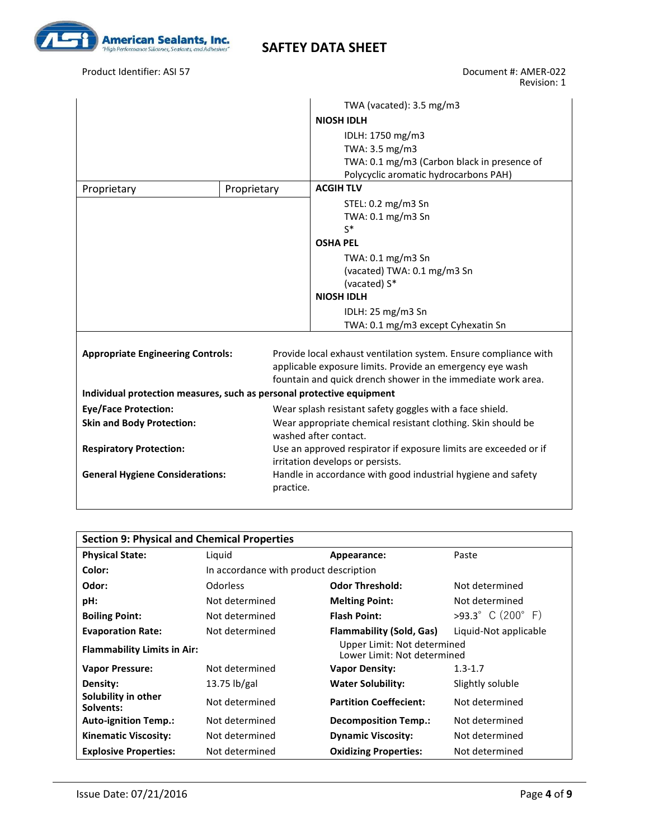

Product Identifier: ASI 57 Document #: AMER-022

|                                                                       |             | TWA (vacated): 3.5 mg/m3                                         |
|-----------------------------------------------------------------------|-------------|------------------------------------------------------------------|
|                                                                       |             | <b>NIOSH IDLH</b>                                                |
|                                                                       |             | IDLH: 1750 mg/m3                                                 |
|                                                                       |             | TWA: 3.5 mg/m3                                                   |
|                                                                       |             | TWA: 0.1 mg/m3 (Carbon black in presence of                      |
|                                                                       |             | Polycyclic aromatic hydrocarbons PAH)                            |
| Proprietary                                                           | Proprietary | <b>ACGIH TLV</b>                                                 |
|                                                                       |             | STEL: 0.2 mg/m3 Sn                                               |
|                                                                       |             | TWA: 0.1 mg/m3 Sn                                                |
|                                                                       |             | $S^*$                                                            |
|                                                                       |             | <b>OSHA PEL</b>                                                  |
|                                                                       |             | TWA: 0.1 mg/m3 Sn                                                |
|                                                                       |             | (vacated) TWA: 0.1 mg/m3 Sn                                      |
|                                                                       |             | (vacated) S*                                                     |
|                                                                       |             | <b>NIOSH IDLH</b>                                                |
|                                                                       |             | IDLH: 25 mg/m3 Sn                                                |
|                                                                       |             | TWA: 0.1 mg/m3 except Cyhexatin Sn                               |
|                                                                       |             |                                                                  |
| <b>Appropriate Engineering Controls:</b>                              |             | Provide local exhaust ventilation system. Ensure compliance with |
|                                                                       |             | applicable exposure limits. Provide an emergency eye wash        |
|                                                                       |             | fountain and quick drench shower in the immediate work area.     |
| Individual protection measures, such as personal protective equipment |             |                                                                  |
| <b>Eye/Face Protection:</b>                                           |             | Wear splash resistant safety goggles with a face shield.         |
| <b>Skin and Body Protection:</b>                                      |             | Wear appropriate chemical resistant clothing. Skin should be     |
|                                                                       |             | washed after contact.                                            |
| <b>Respiratory Protection:</b>                                        |             | Use an approved respirator if exposure limits are exceeded or if |
|                                                                       |             | irritation develops or persists.                                 |
| <b>General Hygiene Considerations:</b>                                |             | Handle in accordance with good industrial hygiene and safety     |
|                                                                       | practice.   |                                                                  |
|                                                                       |             |                                                                  |

| <b>Section 9: Physical and Chemical Properties</b> |                                        |                                                            |                           |
|----------------------------------------------------|----------------------------------------|------------------------------------------------------------|---------------------------|
| <b>Physical State:</b>                             | Liquid                                 | Appearance:                                                | Paste                     |
| Color:                                             | In accordance with product description |                                                            |                           |
| Odor:                                              | <b>Odorless</b>                        | <b>Odor Threshold:</b>                                     | Not determined            |
| pH:                                                | Not determined                         | <b>Melting Point:</b>                                      | Not determined            |
| <b>Boiling Point:</b>                              | Not determined                         | <b>Flash Point:</b>                                        | $>93.3^{\circ}$ C (200°F) |
| <b>Evaporation Rate:</b>                           | Not determined                         | <b>Flammability (Sold, Gas)</b>                            | Liquid-Not applicable     |
| <b>Flammability Limits in Air:</b>                 |                                        | Upper Limit: Not determined<br>Lower Limit: Not determined |                           |
| <b>Vapor Pressure:</b>                             | Not determined                         | <b>Vapor Density:</b>                                      | $1.3 - 1.7$               |
| Density:                                           | 13.75 $\frac{1}{2}$                    | <b>Water Solubility:</b>                                   | Slightly soluble          |
| Solubility in other<br>Solvents:                   | Not determined                         | <b>Partition Coeffecient:</b>                              | Not determined            |
| <b>Auto-ignition Temp.:</b>                        | Not determined                         | <b>Decomposition Temp.:</b>                                | Not determined            |
| <b>Kinematic Viscosity:</b>                        | Not determined                         | <b>Dynamic Viscosity:</b>                                  | Not determined            |
| <b>Explosive Properties:</b>                       | Not determined                         | <b>Oxidizing Properties:</b>                               | Not determined            |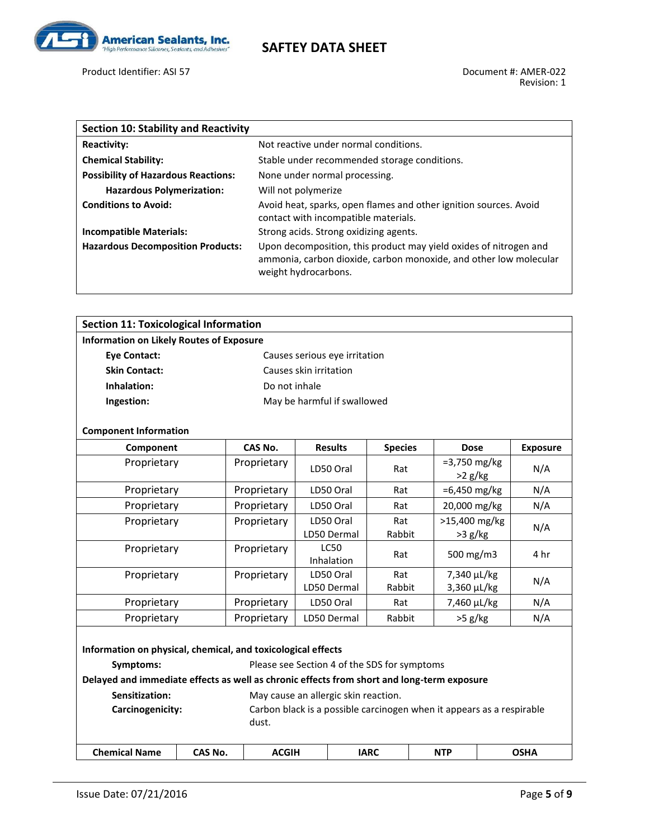

Product Identifier: ASI 57 Document #: AMER-022

| <b>Section 10: Stability and Reactivity</b> |                                                                                                                                                                |
|---------------------------------------------|----------------------------------------------------------------------------------------------------------------------------------------------------------------|
| <b>Reactivity:</b>                          | Not reactive under normal conditions.                                                                                                                          |
| <b>Chemical Stability:</b>                  | Stable under recommended storage conditions.                                                                                                                   |
| <b>Possibility of Hazardous Reactions:</b>  | None under normal processing.                                                                                                                                  |
| <b>Hazardous Polymerization:</b>            | Will not polymerize                                                                                                                                            |
| <b>Conditions to Avoid:</b>                 | Avoid heat, sparks, open flames and other ignition sources. Avoid<br>contact with incompatible materials.                                                      |
| <b>Incompatible Materials:</b>              | Strong acids. Strong oxidizing agents.                                                                                                                         |
| <b>Hazardous Decomposition Products:</b>    | Upon decomposition, this product may yield oxides of nitrogen and<br>ammonia, carbon dioxide, carbon monoxide, and other low molecular<br>weight hydrocarbons. |

| <b>Section 11: Toxicological Information</b>    |                               |  |
|-------------------------------------------------|-------------------------------|--|
| <b>Information on Likely Routes of Exposure</b> |                               |  |
| Eye Contact:                                    | Causes serious eye irritation |  |
| <b>Skin Contact:</b>                            | Causes skin irritation        |  |
| Inhalation:                                     | Do not inhale                 |  |
| Ingestion:                                      | May be harmful if swallowed   |  |
|                                                 |                               |  |

#### **Component Information**

| Component                                                                                  | CAS No.                                                               | <b>Results</b>                       | <b>Species</b> | <b>Dose</b>                          | <b>Exposure</b> |  |  |
|--------------------------------------------------------------------------------------------|-----------------------------------------------------------------------|--------------------------------------|----------------|--------------------------------------|-----------------|--|--|
| Proprietary                                                                                | Proprietary                                                           | LD50 Oral                            | Rat            | $= 3,750 \text{ mg/kg}$<br>$>2$ g/kg | N/A             |  |  |
| Proprietary                                                                                | Proprietary                                                           | LD50 Oral                            | Rat            | $=6,450$ mg/kg                       | N/A             |  |  |
| Proprietary                                                                                | Proprietary                                                           | LD50 Oral                            | Rat            | 20,000 mg/kg                         | N/A             |  |  |
| Proprietary                                                                                | Proprietary                                                           | LD50 Oral<br>LD50 Dermal             | Rat<br>Rabbit  | >15,400 mg/kg<br>$>3$ g/kg           | N/A             |  |  |
| Proprietary                                                                                | Proprietary                                                           | <b>LC50</b><br><b>Inhalation</b>     | Rat            | 500 mg/m $3$                         | 4 hr            |  |  |
| Proprietary                                                                                | Proprietary                                                           | LD50 Oral<br>LD50 Dermal             | Rat<br>Rabbit  | 7,340 µL/kg<br>$3,360 \mu L/kg$      | N/A             |  |  |
| Proprietary                                                                                | Proprietary                                                           | LD50 Oral                            | Rat            | $7,460 \mu L/kg$                     | N/A             |  |  |
| Proprietary                                                                                | Proprietary                                                           | LD50 Dermal                          | Rabbit         | $>5$ g/kg                            | N/A             |  |  |
| Information on physical, chemical, and toxicological effects                               |                                                                       |                                      |                |                                      |                 |  |  |
| Symptoms:                                                                                  | Please see Section 4 of the SDS for symptoms                          |                                      |                |                                      |                 |  |  |
| Delayed and immediate effects as well as chronic effects from short and long-term exposure |                                                                       |                                      |                |                                      |                 |  |  |
| Sensitization:                                                                             |                                                                       | May cause an allergic skin reaction. |                |                                      |                 |  |  |
| Carcinogenicity:                                                                           | Carbon black is a possible carcinogen when it appears as a respirable |                                      |                |                                      |                 |  |  |

| <b>Chemical</b><br>Name | <b>CAS No.</b> | CGIH<br>___ | <b>IARC</b> | <b>NTF</b><br><b>IVIF</b> | ገSHA |
|-------------------------|----------------|-------------|-------------|---------------------------|------|

dust.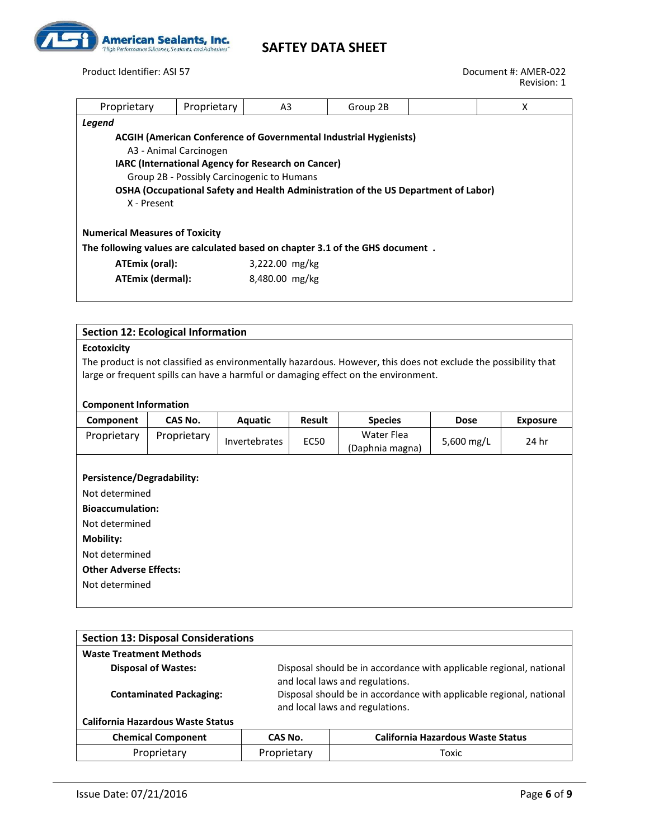

Product Identifier: ASI 57 Document #: AMER-022

| Proprietary                                                                   | Proprietary            | A3                                                                       | Group 2B | X                                                                                  |  |
|-------------------------------------------------------------------------------|------------------------|--------------------------------------------------------------------------|----------|------------------------------------------------------------------------------------|--|
| Legend                                                                        |                        |                                                                          |          |                                                                                    |  |
|                                                                               |                        | <b>ACGIH (American Conference of Governmental Industrial Hygienists)</b> |          |                                                                                    |  |
|                                                                               | A3 - Animal Carcinogen |                                                                          |          |                                                                                    |  |
|                                                                               |                        | IARC (International Agency for Research on Cancer)                       |          |                                                                                    |  |
|                                                                               |                        | Group 2B - Possibly Carcinogenic to Humans                               |          |                                                                                    |  |
|                                                                               |                        |                                                                          |          | OSHA (Occupational Safety and Health Administration of the US Department of Labor) |  |
| X - Present                                                                   |                        |                                                                          |          |                                                                                    |  |
|                                                                               |                        |                                                                          |          |                                                                                    |  |
| <b>Numerical Measures of Toxicity</b>                                         |                        |                                                                          |          |                                                                                    |  |
| The following values are calculated based on chapter 3.1 of the GHS document. |                        |                                                                          |          |                                                                                    |  |
| ATEmix (oral):                                                                |                        | 3,222.00 mg/kg                                                           |          |                                                                                    |  |
| ATEmix (dermal):                                                              |                        | 8,480.00 mg/kg                                                           |          |                                                                                    |  |
|                                                                               |                        |                                                                          |          |                                                                                    |  |

#### **Section 12: Ecological Information**

#### **Ecotoxicity**

The product is not classified as environmentally hazardous. However, this does not exclude the possibility that large or frequent spills can have a harmful or damaging effect on the environment.

#### **Component Information**

| µ                             |             |                      |               |                 |             |                 |
|-------------------------------|-------------|----------------------|---------------|-----------------|-------------|-----------------|
| Component                     | CAS No.     | Aquatic              | <b>Result</b> | <b>Species</b>  | <b>Dose</b> | <b>Exposure</b> |
| Proprietary                   | Proprietary | <b>Invertebrates</b> | <b>EC50</b>   | Water Flea      | 5,600 mg/L  | 24 hr           |
|                               |             |                      |               | (Daphnia magna) |             |                 |
|                               |             |                      |               |                 |             |                 |
| Persistence/Degradability:    |             |                      |               |                 |             |                 |
| Not determined                |             |                      |               |                 |             |                 |
| <b>Bioaccumulation:</b>       |             |                      |               |                 |             |                 |
| Not determined                |             |                      |               |                 |             |                 |
| <b>Mobility:</b>              |             |                      |               |                 |             |                 |
| Not determined                |             |                      |               |                 |             |                 |
| <b>Other Adverse Effects:</b> |             |                      |               |                 |             |                 |
| Not determined                |             |                      |               |                 |             |                 |
|                               |             |                      |               |                 |             |                 |

| <b>Section 13: Disposal Considerations</b>                                                                                           |                                                                                                        |                                          |  |  |
|--------------------------------------------------------------------------------------------------------------------------------------|--------------------------------------------------------------------------------------------------------|------------------------------------------|--|--|
| <b>Waste Treatment Methods</b>                                                                                                       |                                                                                                        |                                          |  |  |
| Disposal should be in accordance with applicable regional, national<br><b>Disposal of Wastes:</b><br>and local laws and regulations. |                                                                                                        |                                          |  |  |
| <b>Contaminated Packaging:</b>                                                                                                       | Disposal should be in accordance with applicable regional, national<br>and local laws and regulations. |                                          |  |  |
| <b>California Hazardous Waste Status</b>                                                                                             |                                                                                                        |                                          |  |  |
| <b>Chemical Component</b>                                                                                                            | CAS No.                                                                                                | <b>California Hazardous Waste Status</b> |  |  |
| Proprietary                                                                                                                          | Proprietary                                                                                            | Toxic                                    |  |  |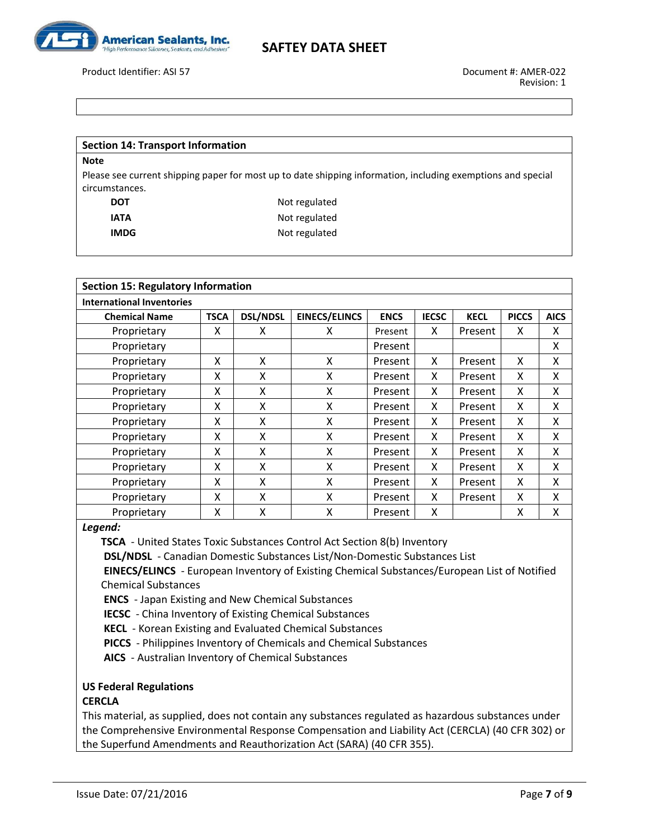

Product Identifier: ASI 57 Document #: AMER-022

### **Section 14: Transport Information Note**

Please see current shipping paper for most up to date shipping information, including exemptions and special circumstances.

| DOT   | Not regulated |
|-------|---------------|
| IATA  | Not regulated |
| IMDG. | Not regulated |

| <b>Section 15: Regulatory Information</b> |             |                 |                      |             |              |             |              |             |
|-------------------------------------------|-------------|-----------------|----------------------|-------------|--------------|-------------|--------------|-------------|
| <b>International Inventories</b>          |             |                 |                      |             |              |             |              |             |
| <b>Chemical Name</b>                      | <b>TSCA</b> | <b>DSL/NDSL</b> | <b>EINECS/ELINCS</b> | <b>ENCS</b> | <b>IECSC</b> | <b>KECL</b> | <b>PICCS</b> | <b>AICS</b> |
| Proprietary                               | x           | x               | x                    | Present     | X            | Present     | x            | x           |
| Proprietary                               |             |                 |                      | Present     |              |             |              | Χ           |
| Proprietary                               | x           | X               | X                    | Present     | X            | Present     | X            | X           |
| Proprietary                               | x           | X               | x                    | Present     | X            | Present     | x            | x           |
| Proprietary                               | x           | X               | x                    | Present     | X            | Present     | X            | X           |
| Proprietary                               | X           | X               | X                    | Present     | X            | Present     | X            | X           |
| Proprietary                               | x           | X               | Χ                    | Present     | X            | Present     | X            | X           |
| Proprietary                               | X           | X               | Χ                    | Present     | X            | Present     | X            | x           |
| Proprietary                               | X           | X               | X                    | Present     | X            | Present     | X            | X           |
| Proprietary                               | x           | X               | x                    | Present     | X            | Present     | X            | X           |
| Proprietary                               | X           | Χ               | X                    | Present     | X            | Present     | X            | X           |
| Proprietary                               | X           | X               | X                    | Present     | X            | Present     | X            | X           |
| Proprietary                               | X           | X               | X                    | Present     | x            |             | x            | x           |

#### *Legend:*

**TSCA** - United States Toxic Substances Control Act Section 8(b) Inventory

**DSL/NDSL** - Canadian Domestic Substances List/Non-Domestic Substances List

**EINECS/ELINCS** - European Inventory of Existing Chemical Substances/European List of Notified Chemical Substances

**ENCS** - Japan Existing and New Chemical Substances

**IECSC** - China Inventory of Existing Chemical Substances

**KECL** - Korean Existing and Evaluated Chemical Substances

**PICCS** - Philippines Inventory of Chemicals and Chemical Substances

**AICS** - Australian Inventory of Chemical Substances

#### **US Federal Regulations**

#### **CERCLA**

This material, as supplied, does not contain any substances regulated as hazardous substances under the Comprehensive Environmental Response Compensation and Liability Act (CERCLA) (40 CFR 302) or the Superfund Amendments and Reauthorization Act (SARA) (40 CFR 355).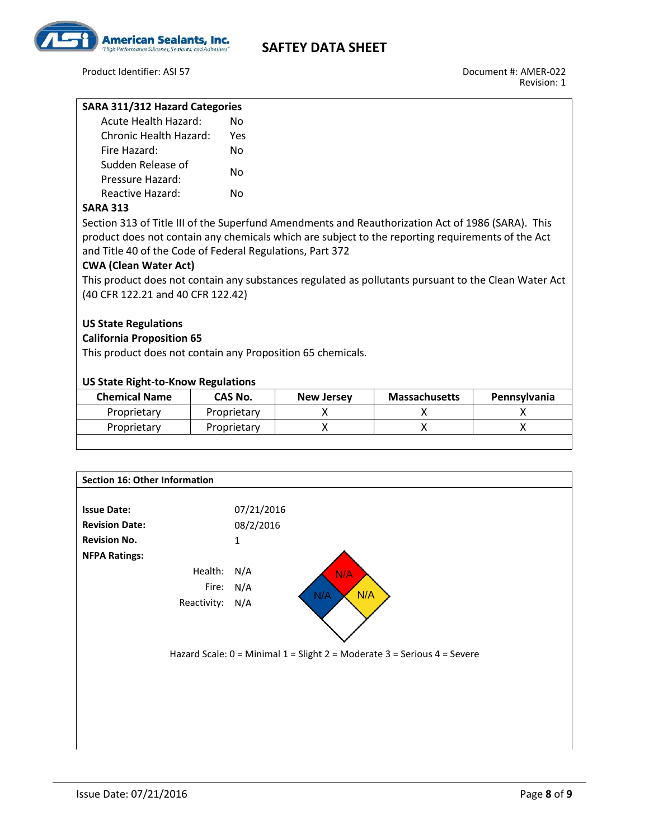

#### **SARA 311/312 Hazard Categories**

| Acute Health Hazard:   | N٥  |
|------------------------|-----|
| Chronic Health Hazard: | Yes |
| Fire Hazard:           | Nο  |
| Sudden Release of      | N٥  |
| Pressure Hazard:       |     |
| Reactive Hazard:       | N٥  |

#### **SARA 313**

Section 313 of Title III of the Superfund Amendments and Reauthorization Act of 1986 (SARA). This product does not contain any chemicals which are subject to the reporting requirements of the Act and Title 40 of the Code of Federal Regulations, Part 372

#### **CWA (Clean Water Act)**

This product does not contain any substances regulated as pollutants pursuant to the Clean Water Act (40 CFR 122.21 and 40 CFR 122.42)

#### **US State Regulations**

#### **California Proposition 65**

This product does not contain any Proposition 65 chemicals.

#### **US State Right-to-Know Regulations**

| <b>Chemical Name</b> | CAS No.     | <b>New Jersey</b> | <b>Massachusetts</b> | <b>Pennsylvania</b> |
|----------------------|-------------|-------------------|----------------------|---------------------|
| Proprietary          | Proprietary |                   |                      |                     |
| Proprietary          | Proprietary |                   |                      |                     |
|                      |             |                   |                      |                     |